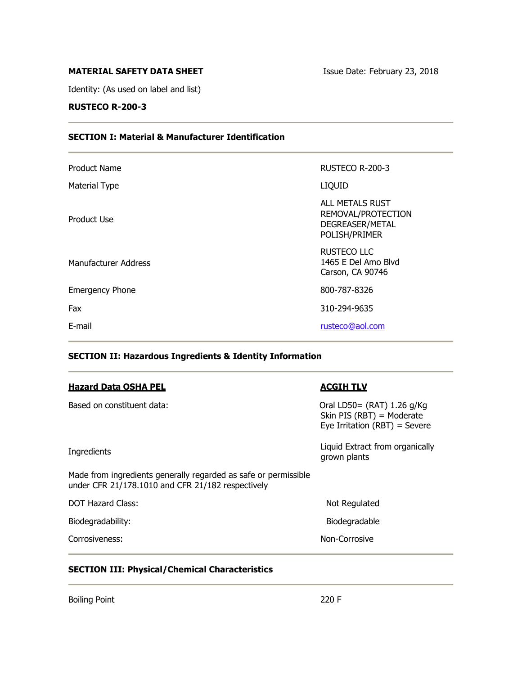# **MATERIAL SAFETY DATA SHEET ISSUE Date: February 23, 2018**

Identity: (As used on label and list)

# **RUSTECO R-200-3**

# **SECTION I: Material & Manufacturer Identification**

| <b>Product Name</b>    | RUSTECO R-200-3                                                           |
|------------------------|---------------------------------------------------------------------------|
| Material Type          | <b>LIQUID</b>                                                             |
| Product Use            | ALL METALS RUST<br>REMOVAL/PROTECTION<br>DEGREASER/METAL<br>POLISH/PRIMER |
| Manufacturer Address   | RUSTECO LLC<br>1465 E Del Amo Blvd<br>Carson, CA 90746                    |
| <b>Emergency Phone</b> | 800-787-8326                                                              |
| Fax                    | 310-294-9635                                                              |
| E-mail                 | rusteco@aol.com                                                           |
|                        |                                                                           |

# **SECTION II: Hazardous Ingredients & Identity Information**

| <b>Hazard Data OSHA PEL</b>                                                                                          | <b>ACGIH TLV</b>                                                                         |
|----------------------------------------------------------------------------------------------------------------------|------------------------------------------------------------------------------------------|
| Based on constituent data:                                                                                           | Oral LD50= (RAT) 1.26 g/Kg<br>Skin PIS (RBT) = Moderate<br>Eye Irritation (RBT) = Severe |
| Ingredients                                                                                                          | Liquid Extract from organically<br>grown plants                                          |
| Made from ingredients generally regarded as safe or permissible<br>under CFR 21/178.1010 and CFR 21/182 respectively |                                                                                          |
| <b>DOT Hazard Class:</b>                                                                                             | Not Regulated                                                                            |
| Biodegradability:                                                                                                    | Biodegradable                                                                            |
| Corrosiveness:                                                                                                       | Non-Corrosive                                                                            |

# **SECTION III: Physical/Chemical Characteristics**

Boiling Point 220 F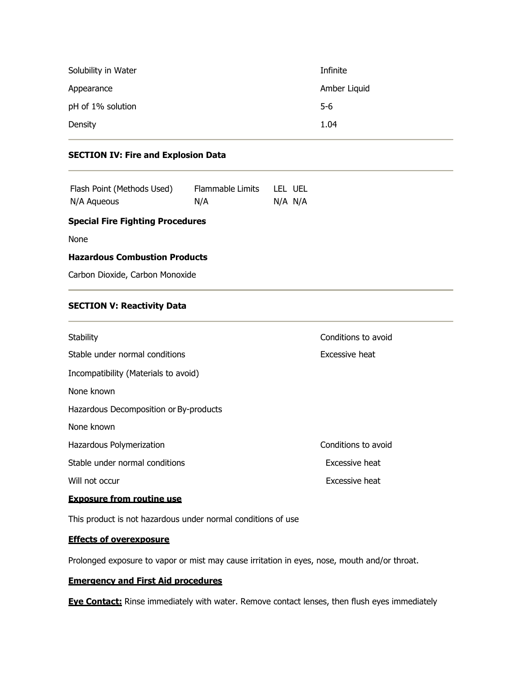| Solubility in Water | Infinite     |
|---------------------|--------------|
| Appearance          | Amber Liquid |
| pH of 1% solution   | $5-6$        |
| Density             | 1.04         |

# **SECTION IV: Fire and Explosion Data**

| Flash Point (Methods Used) | Flammable Limits | LEL UEL |
|----------------------------|------------------|---------|
| N/A Aqueous                | N/A              | N/A N/A |

## **Special Fire Fighting Procedures**

None

#### **Hazardous Combustion Products**

Carbon Dioxide, Carbon Monoxide

## **SECTION V: Reactivity Data**

| Stability                              | Conditions to avoid |
|----------------------------------------|---------------------|
| Stable under normal conditions         | Excessive heat      |
| Incompatibility (Materials to avoid)   |                     |
| None known                             |                     |
| Hazardous Decomposition or By-products |                     |
| None known                             |                     |
| Hazardous Polymerization               | Conditions to avoid |
| Stable under normal conditions         | Excessive heat      |
| Will not occur                         | Excessive heat      |
| <u>Exposure from routine use</u>       |                     |
|                                        |                     |

This product is not hazardous under normal conditions of use

# **Effects of overexposure**

Prolonged exposure to vapor or mist may cause irritation in eyes, nose, mouth and/or throat.

# **Emergency and First Aid procedures**

**Eye Contact:** Rinse immediately with water. Remove contact lenses, then flush eyes immediately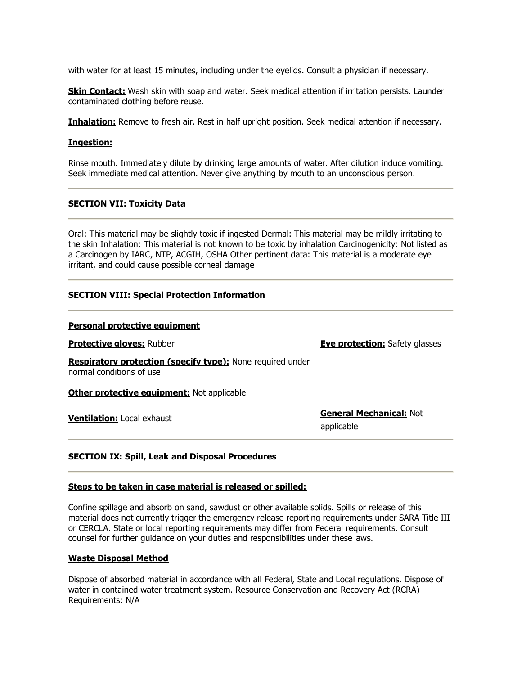with water for at least 15 minutes, including under the eyelids. Consult a physician if necessary.

**Skin Contact:** Wash skin with soap and water. Seek medical attention if irritation persists. Launder contaminated clothing before reuse.

**Inhalation:** Remove to fresh air. Rest in half upright position. Seek medical attention if necessary.

#### **Ingestion:**

Rinse mouth. Immediately dilute by drinking large amounts of water. After dilution induce vomiting. Seek immediate medical attention. Never give anything by mouth to an unconscious person.

#### **SECTION VII: Toxicity Data**

Oral: This material may be slightly toxic if ingested Dermal: This material may be mildly irritating to the skin Inhalation: This material is not known to be toxic by inhalation Carcinogenicity: Not listed as a Carcinogen by IARC, NTP, ACGIH, OSHA Other pertinent data: This material is a moderate eye irritant, and could cause possible corneal damage

#### **SECTION VIII: Special Protection Information**

#### **Personal protective equipment**

**Protective gloves:** Rubber **Eye protection:** Safety glasses

**Respiratory protection (specify type):** None required under normal conditions of use

**Other protective equipment:** Not applicable

**Ventilation:** Local exhaust **General Mechanical:** Not applicable

#### **SECTION IX: Spill, Leak and Disposal Procedures**

#### **Steps to be taken in case material is released or spilled:**

Confine spillage and absorb on sand, sawdust or other available solids. Spills or release of this material does not currently trigger the emergency release reporting requirements under SARA Title III or CERCLA. State or local reporting requirements may differ from Federal requirements. Consult counsel for further guidance on your duties and responsibilities under these laws.

#### **Waste Disposal Method**

Dispose of absorbed material in accordance with all Federal, State and Local regulations. Dispose of water in contained water treatment system. Resource Conservation and Recovery Act (RCRA) Requirements: N/A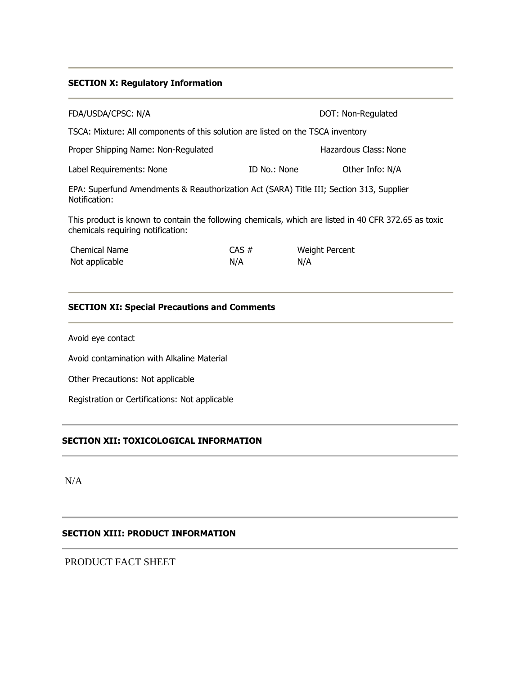## **SECTION X: Regulatory Information**

| FDA/USDA/CPSC: N/A                                                                                                                        |                 |                              | DOT: Non-Regulated    |  |  |
|-------------------------------------------------------------------------------------------------------------------------------------------|-----------------|------------------------------|-----------------------|--|--|
| TSCA: Mixture: All components of this solution are listed on the TSCA inventory                                                           |                 |                              |                       |  |  |
| Proper Shipping Name: Non-Regulated                                                                                                       |                 |                              | Hazardous Class: None |  |  |
| Label Requirements: None                                                                                                                  | ID No.: None    |                              | Other Info: N/A       |  |  |
| EPA: Superfund Amendments & Reauthorization Act (SARA) Title III; Section 313, Supplier<br>Notification:                                  |                 |                              |                       |  |  |
| This product is known to contain the following chemicals, which are listed in 40 CFR 372.65 as toxic<br>chemicals requiring notification: |                 |                              |                       |  |  |
| <b>Chemical Name</b><br>Not applicable                                                                                                    | $CAS \#$<br>N/A | <b>Weight Percent</b><br>N/A |                       |  |  |

# **SECTION XI: Special Precautions and Comments**

Avoid eye contact

Avoid contamination with Alkaline Material

Other Precautions: Not applicable

Registration or Certifications: Not applicable

# **SECTION XII: TOXICOLOGICAL INFORMATION**

N/A

#### **SECTION XIII: PRODUCT INFORMATION**

PRODUCT FACT SHEET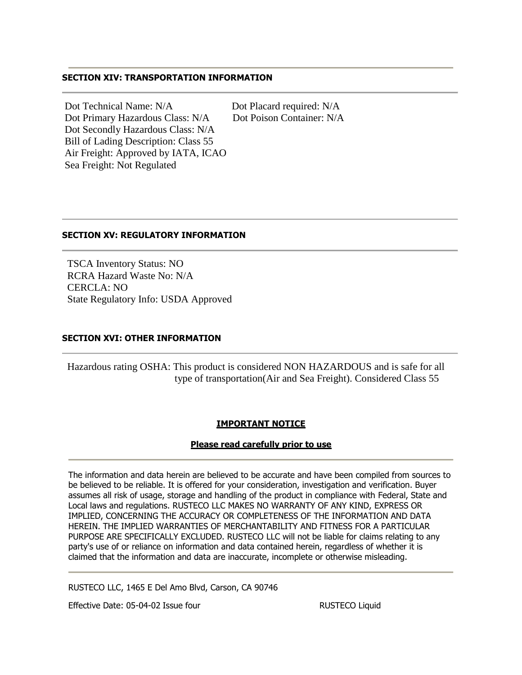## **SECTION XIV: TRANSPORTATION INFORMATION**

Dot Technical Name: N/A Dot Placard required: N/A Dot Primary Hazardous Class: N/A Dot Poison Container: N/A Dot Secondly Hazardous Class: N/A Bill of Lading Description: Class 55 Air Freight: Approved by IATA, ICAO Sea Freight: Not Regulated

# **SECTION XV: REGULATORY INFORMATION**

 TSCA Inventory Status: NO RCRA Hazard Waste No: N/A CERCLA: NO State Regulatory Info: USDA Approved

## **SECTION XVI: OTHER INFORMATION**

 Hazardous rating OSHA: This product is considered NON HAZARDOUS and is safe for all type of transportation(Air and Sea Freight). Considered Class 55

# **IMPORTANT NOTICE**

#### **Please read carefully prior to use**

The information and data herein are believed to be accurate and have been compiled from sources to be believed to be reliable. It is offered for your consideration, investigation and verification. Buyer assumes all risk of usage, storage and handling of the product in compliance with Federal, State and Local laws and regulations. RUSTECO LLC MAKES NO WARRANTY OF ANY KIND, EXPRESS OR IMPLIED, CONCERNING THE ACCURACY OR COMPLETENESS OF THE INFORMATION AND DATA HEREIN. THE IMPLIED WARRANTIES OF MERCHANTABILITY AND FITNESS FOR A PARTICULAR PURPOSE ARE SPECIFICALLY EXCLUDED. RUSTECO LLC will not be liable for claims relating to any party's use of or reliance on information and data contained herein, regardless of whether it is claimed that the information and data are inaccurate, incomplete or otherwise misleading.

RUSTECO LLC, 1465 E Del Amo Blvd, Carson, CA 90746

Effective Date: 05-04-02 Issue four example and the RUSTECO Liquid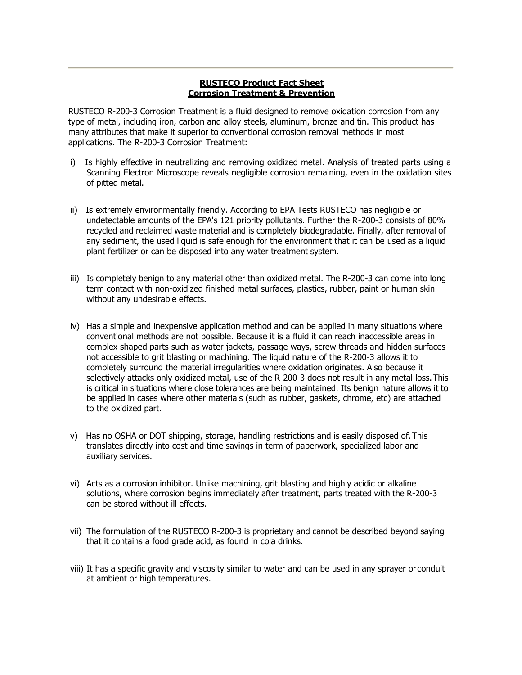## **RUSTECO Product Fact Sheet Corrosion Treatment & Prevention**

RUSTECO R-200-3 Corrosion Treatment is a fluid designed to remove oxidation corrosion from any type of metal, including iron, carbon and alloy steels, aluminum, bronze and tin. This product has many attributes that make it superior to conventional corrosion removal methods in most applications. The R-200-3 Corrosion Treatment:

- i) Is highly effective in neutralizing and removing oxidized metal. Analysis of treated parts using a Scanning Electron Microscope reveals negligible corrosion remaining, even in the oxidation sites of pitted metal.
- ii) Is extremely environmentally friendly. According to EPA Tests RUSTECO has negligible or undetectable amounts of the EPA's 121 priority pollutants. Further the R-200-3 consists of 80% recycled and reclaimed waste material and is completely biodegradable. Finally, after removal of any sediment, the used liquid is safe enough for the environment that it can be used as a liquid plant fertilizer or can be disposed into any water treatment system.
- iii) Is completely benign to any material other than oxidized metal. The R-200-3 can come into long term contact with non-oxidized finished metal surfaces, plastics, rubber, paint or human skin without any undesirable effects.
- iv) Has a simple and inexpensive application method and can be applied in many situations where conventional methods are not possible. Because it is a fluid it can reach inaccessible areas in complex shaped parts such as water jackets, passage ways, screw threads and hidden surfaces not accessible to grit blasting or machining. The liquid nature of the R-200-3 allows it to completely surround the material irregularities where oxidation originates. Also because it selectively attacks only oxidized metal, use of the R-200-3 does not result in any metal loss.This is critical in situations where close tolerances are being maintained. Its benign nature allows it to be applied in cases where other materials (such as rubber, gaskets, chrome, etc) are attached to the oxidized part.
- v) Has no OSHA or DOT shipping, storage, handling restrictions and is easily disposed of.This translates directly into cost and time savings in term of paperwork, specialized labor and auxiliary services.
- vi) Acts as a corrosion inhibitor. Unlike machining, grit blasting and highly acidic or alkaline solutions, where corrosion begins immediately after treatment, parts treated with the R-200-3 can be stored without ill effects.
- vii) The formulation of the RUSTECO R-200-3 is proprietary and cannot be described beyond saying that it contains a food grade acid, as found in cola drinks.
- viii) It has a specific gravity and viscosity similar to water and can be used in any sprayer or conduit at ambient or high temperatures.